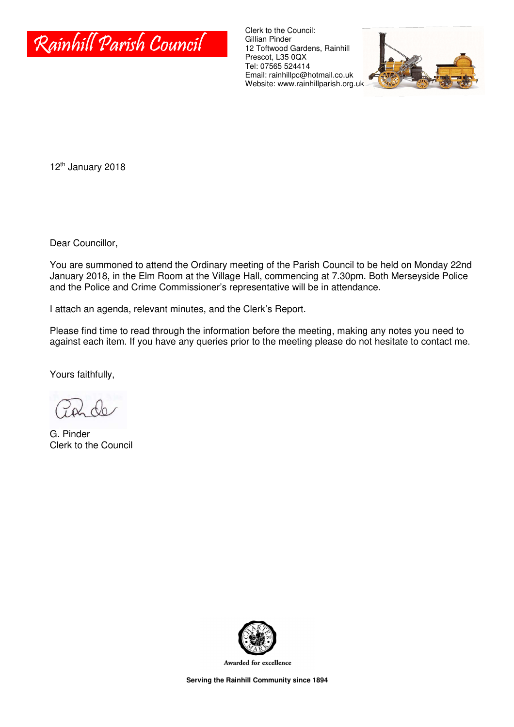

Clerk to the Council: Gillian Pinder 12 Toftwood Gardens, Rainhill Prescot, L35 0QX Tel: 07565 524414 Email: rainhillpc@hotmail.co.uk Website: www.rainhillparish.org.uk



12<sup>th</sup> January 2018

Dear Councillor,

You are summoned to attend the Ordinary meeting of the Parish Council to be held on Monday 22nd January 2018, in the Elm Room at the Village Hall, commencing at 7.30pm. Both Merseyside Police and the Police and Crime Commissioner's representative will be in attendance.

I attach an agenda, relevant minutes, and the Clerk's Report.

Please find time to read through the information before the meeting, making any notes you need to against each item. If you have any queries prior to the meeting please do not hesitate to contact me.

Yours faithfully,

G. Pinder Clerk to the Council



Awarded for excellence

**Serving the Rainhill Community since 1894**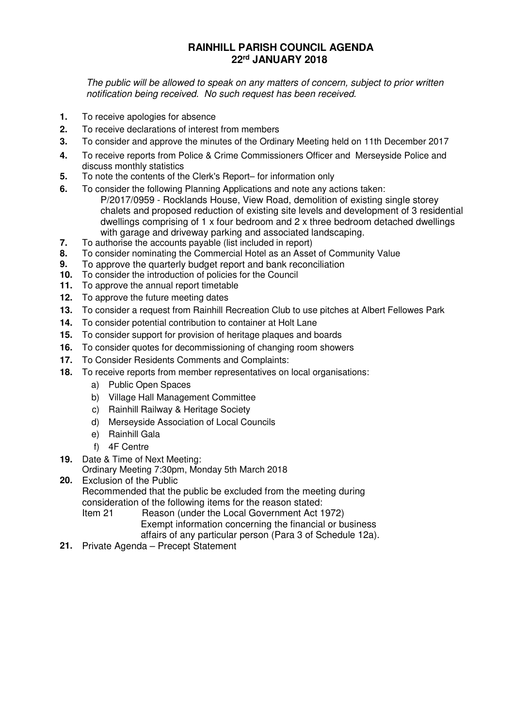#### **RAINHILL PARISH COUNCIL AGENDA 22rd JANUARY 2018**

The public will be allowed to speak on any matters of concern, subject to prior written notification being received. No such request has been received.

- **1.** To receive apologies for absence
- **2.** To receive declarations of interest from members
- **3.** To consider and approve the minutes of the Ordinary Meeting held on 11th December 2017
- **4.** To receive reports from Police & Crime Commissioners Officer and Merseyside Police and discuss monthly statistics
- **5.** To note the contents of the Clerk's Report– for information only
- **6.** To consider the following Planning Applications and note any actions taken: P/2017/0959 - Rocklands House, View Road, demolition of existing single storey chalets and proposed reduction of existing site levels and development of 3 residential dwellings comprising of 1 x four bedroom and 2 x three bedroom detached dwellings with garage and driveway parking and associated landscaping.
- **7.** To authorise the accounts payable (list included in report)
- **8.** To consider nominating the Commercial Hotel as an Asset of Community Value
- **9.** To approve the quarterly budget report and bank reconciliation
- **10.** To consider the introduction of policies for the Council
- **11.** To approve the annual report timetable
- **12.** To approve the future meeting dates
- **13.** To consider a request from Rainhill Recreation Club to use pitches at Albert Fellowes Park
- **14.** To consider potential contribution to container at Holt Lane
- **15.** To consider support for provision of heritage plaques and boards
- **16.** To consider quotes for decommissioning of changing room showers
- **17.** To Consider Residents Comments and Complaints:
- **18.** To receive reports from member representatives on local organisations:
	- a) Public Open Spaces
	- b) Village Hall Management Committee
	- c) Rainhill Railway & Heritage Society
	- d) Merseyside Association of Local Councils
	- e) Rainhill Gala
	- f) 4F Centre
- **19.** Date & Time of Next Meeting:
	- Ordinary Meeting 7:30pm, Monday 5th March 2018
- **20.** Exclusion of the Public

Recommended that the public be excluded from the meeting during consideration of the following items for the reason stated:

Item 21 Reason (under the Local Government Act 1972) Exempt information concerning the financial or business affairs of any particular person (Para 3 of Schedule 12a).

**21.** Private Agenda – Precept Statement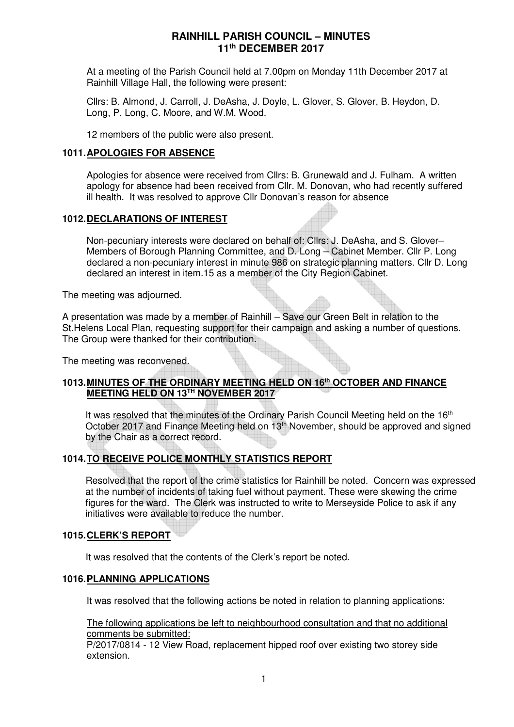At a meeting of the Parish Council held at 7.00pm on Monday 11th December 2017 at Rainhill Village Hall, the following were present:

Cllrs: B. Almond, J. Carroll, J. DeAsha, J. Doyle, L. Glover, S. Glover, B. Heydon, D. Long, P. Long, C. Moore, and W.M. Wood.

12 members of the public were also present.

#### **1011. APOLOGIES FOR ABSENCE**

Apologies for absence were received from Cllrs: B. Grunewald and J. Fulham. A written apology for absence had been received from Cllr. M. Donovan, who had recently suffered ill health. It was resolved to approve Cllr Donovan's reason for absence

#### **1012. DECLARATIONS OF INTEREST**

Non-pecuniary interests were declared on behalf of: Cllrs: J. DeAsha, and S. Glover– Members of Borough Planning Committee, and D. Long – Cabinet Member. Cllr P. Long declared a non-pecuniary interest in minute 986 on strategic planning matters. Cllr D. Long declared an interest in item.15 as a member of the City Region Cabinet.

The meeting was adjourned.

A presentation was made by a member of Rainhill – Save our Green Belt in relation to the St.Helens Local Plan, requesting support for their campaign and asking a number of questions. The Group were thanked for their contribution.

The meeting was reconvened.

#### **1013. MINUTES OF THE ORDINARY MEETING HELD ON 16th OCTOBER AND FINANCE MEETING HELD ON 13TH NOVEMBER 2017**

It was resolved that the minutes of the Ordinary Parish Council Meeting held on the 16<sup>th</sup> October 2017 and Finance Meeting held on 13<sup>th</sup> November, should be approved and signed by the Chair as a correct record.

#### **1014. TO RECEIVE POLICE MONTHLY STATISTICS REPORT**

Resolved that the report of the crime statistics for Rainhill be noted. Concern was expressed at the number of incidents of taking fuel without payment. These were skewing the crime figures for the ward. The Clerk was instructed to write to Merseyside Police to ask if any initiatives were available to reduce the number.

#### **1015. CLERK'S REPORT**

It was resolved that the contents of the Clerk's report be noted.

#### **1016. PLANNING APPLICATIONS**

It was resolved that the following actions be noted in relation to planning applications:

The following applications be left to neighbourhood consultation and that no additional comments be submitted:

P/2017/0814 - 12 View Road, replacement hipped roof over existing two storey side extension.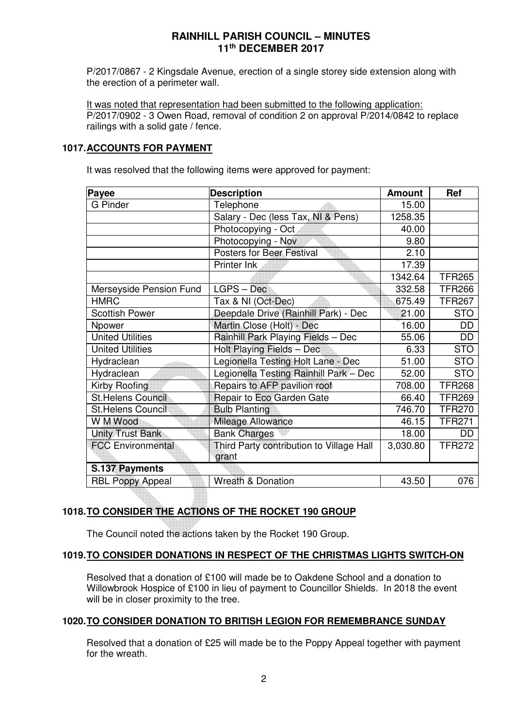P/2017/0867 - 2 Kingsdale Avenue, erection of a single storey side extension along with the erection of a perimeter wall.

It was noted that representation had been submitted to the following application: P/2017/0902 - 3 Owen Road, removal of condition 2 on approval P/2014/0842 to replace railings with a solid gate / fence.

#### **1017. ACCOUNTS FOR PAYMENT**

It was resolved that the following items were approved for payment:

| Payee                    | <b>Description</b>                       | <b>Amount</b> | Ref           |
|--------------------------|------------------------------------------|---------------|---------------|
| <b>G</b> Pinder          | Telephone                                | 15.00         |               |
|                          | Salary - Dec (less Tax, NI & Pens)       | 1258.35       |               |
|                          | Photocopying - Oct                       | 40.00         |               |
|                          | Photocopying - Nov                       | 9.80          |               |
|                          | <b>Posters for Beer Festival</b>         | 2.10          |               |
|                          | Printer Ink                              | 17.39         |               |
|                          |                                          | 1342.64       | <b>TFR265</b> |
| Merseyside Pension Fund  | $LGPS - Dec$                             | 332.58        | <b>TFR266</b> |
| <b>HMRC</b>              | Tax & NI (Oct-Dec)                       | 675.49        | <b>TFR267</b> |
| <b>Scottish Power</b>    | Deepdale Drive (Rainhill Park) - Dec     | 21.00         | <b>STO</b>    |
| Npower                   | Martin Close (Holt) - Dec                | 16.00         | DD            |
| <b>United Utilities</b>  | Rainhill Park Playing Fields - Dec       | 55.06         | DD            |
| <b>United Utilities</b>  | Holt Playing Fields - Dec                | 6.33          | <b>STO</b>    |
| Hydraclean               | Legionella Testing Holt Lane - Dec       | 51.00         | <b>STO</b>    |
| Hydraclean               | Legionella Testing Rainhill Park - Dec   | 52.00         | <b>STO</b>    |
| Kirby Roofing            | Repairs to AFP pavilion roof             | 708.00        | <b>TFR268</b> |
| <b>St.Helens Council</b> | Repair to Eco Garden Gate                | 66.40         | <b>TFR269</b> |
| <b>St.Helens Council</b> | <b>Bulb Planting</b>                     | 746.70        | <b>TFR270</b> |
| W M Wood                 | Mileage Allowance                        | 46.15         | <b>TFR271</b> |
| <b>Unity Trust Bank</b>  | <b>Bank Charges</b>                      | 18.00         | DD            |
| <b>FCC Environmental</b> | Third Party contribution to Village Hall | 3,030.80      | <b>TFR272</b> |
|                          | grant                                    |               |               |
| S.137 Payments           |                                          |               |               |
| <b>RBL Poppy Appeal</b>  | <b>Wreath &amp; Donation</b>             | 43.50         | 076           |

#### **1018. TO CONSIDER THE ACTIONS OF THE ROCKET 190 GROUP**

The Council noted the actions taken by the Rocket 190 Group.

#### **1019. TO CONSIDER DONATIONS IN RESPECT OF THE CHRISTMAS LIGHTS SWITCH-ON**

Resolved that a donation of £100 will made be to Oakdene School and a donation to Willowbrook Hospice of £100 in lieu of payment to Councillor Shields. In 2018 the event will be in closer proximity to the tree.

#### **1020. TO CONSIDER DONATION TO BRITISH LEGION FOR REMEMBRANCE SUNDAY**

Resolved that a donation of £25 will made be to the Poppy Appeal together with payment for the wreath.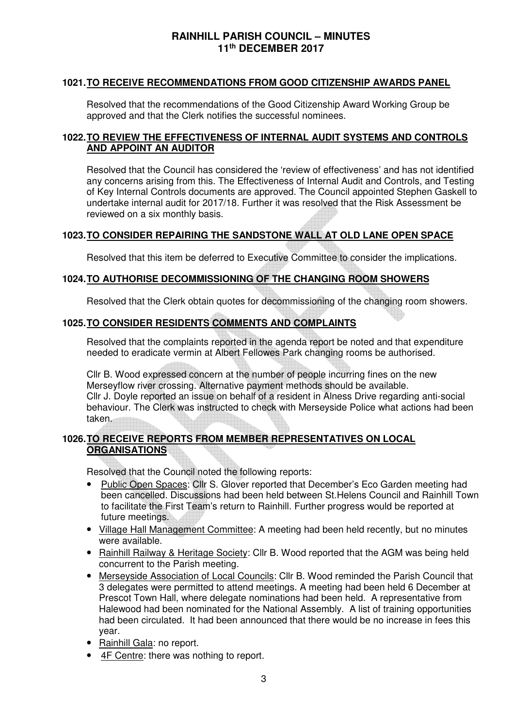#### **1021. TO RECEIVE RECOMMENDATIONS FROM GOOD CITIZENSHIP AWARDS PANEL**

Resolved that the recommendations of the Good Citizenship Award Working Group be approved and that the Clerk notifies the successful nominees.

#### **1022. TO REVIEW THE EFFECTIVENESS OF INTERNAL AUDIT SYSTEMS AND CONTROLS AND APPOINT AN AUDITOR**

Resolved that the Council has considered the 'review of effectiveness' and has not identified any concerns arising from this. The Effectiveness of Internal Audit and Controls, and Testing of Key Internal Controls documents are approved. The Council appointed Stephen Gaskell to undertake internal audit for 2017/18. Further it was resolved that the Risk Assessment be reviewed on a six monthly basis.

#### **1023. TO CONSIDER REPAIRING THE SANDSTONE WALL AT OLD LANE OPEN SPACE**

Resolved that this item be deferred to Executive Committee to consider the implications.

#### **1024. TO AUTHORISE DECOMMISSIONING OF THE CHANGING ROOM SHOWERS**

Resolved that the Clerk obtain quotes for decommissioning of the changing room showers.

#### **1025. TO CONSIDER RESIDENTS COMMENTS AND COMPLAINTS**

Resolved that the complaints reported in the agenda report be noted and that expenditure needed to eradicate vermin at Albert Fellowes Park changing rooms be authorised.

Cllr B. Wood expressed concern at the number of people incurring fines on the new Merseyflow river crossing. Alternative payment methods should be available. Cllr J. Doyle reported an issue on behalf of a resident in Alness Drive regarding anti-social behaviour. The Clerk was instructed to check with Merseyside Police what actions had been taken.

#### **1026. TO RECEIVE REPORTS FROM MEMBER REPRESENTATIVES ON LOCAL ORGANISATIONS**

Resolved that the Council noted the following reports:

- Public Open Spaces: Cllr S. Glover reported that December's Eco Garden meeting had been cancelled. Discussions had been held between St.Helens Council and Rainhill Town to facilitate the First Team's return to Rainhill. Further progress would be reported at future meetings.
- Village Hall Management Committee: A meeting had been held recently, but no minutes were available.
- Rainhill Railway & Heritage Society: Cllr B. Wood reported that the AGM was being held concurrent to the Parish meeting.
- Merseyside Association of Local Councils: Cllr B. Wood reminded the Parish Council that 3 delegates were permitted to attend meetings. A meeting had been held 6 December at Prescot Town Hall, where delegate nominations had been held. A representative from Halewood had been nominated for the National Assembly. A list of training opportunities had been circulated. It had been announced that there would be no increase in fees this year.
- Rainhill Gala: no report.
- 4F Centre: there was nothing to report.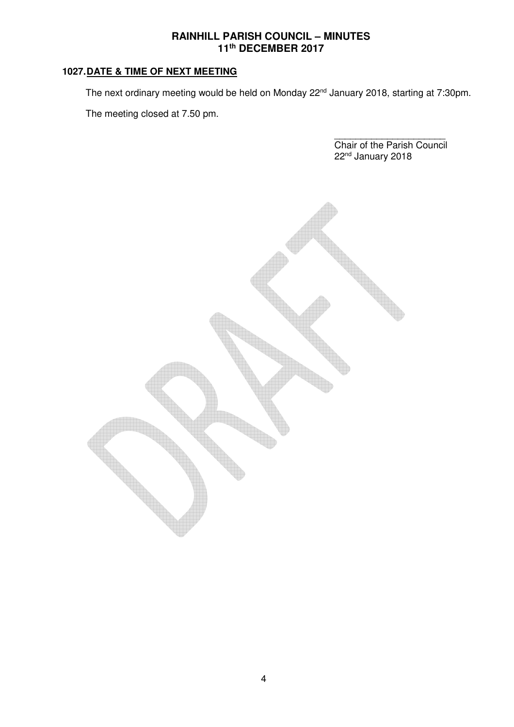#### **1027. DATE & TIME OF NEXT MEETING**

The next ordinary meeting would be held on Monday 22<sup>nd</sup> January 2018, starting at 7:30pm.

The meeting closed at 7.50 pm.

\_\_\_\_\_\_\_\_\_\_\_\_\_\_\_\_\_\_\_\_\_ Chair of the Parish Council 22<sup>nd</sup> January 2018

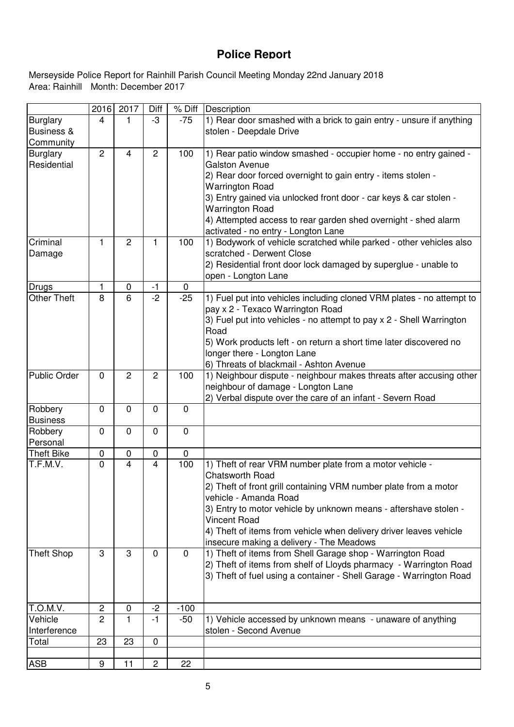## **Police Report**

Area: Rainhill Month: December 2017 Merseyside Police Report for Rainhill Parish Council Meeting Monday 22nd January 2018

|                                                       | 2016           | 2017           | Diff           | % Diff      | Description                                                                                                                                                                                                                                                                                                                                                                                  |
|-------------------------------------------------------|----------------|----------------|----------------|-------------|----------------------------------------------------------------------------------------------------------------------------------------------------------------------------------------------------------------------------------------------------------------------------------------------------------------------------------------------------------------------------------------------|
| <b>Burglary</b><br><b>Business &amp;</b><br>Community | 4              | 1              | -3             | $-75$       | 1) Rear door smashed with a brick to gain entry - unsure if anything<br>stolen - Deepdale Drive                                                                                                                                                                                                                                                                                              |
| <b>Burglary</b><br>Residential                        | $\overline{2}$ | $\overline{4}$ | $\overline{2}$ | 100         | 1) Rear patio window smashed - occupier home - no entry gained -<br>Galston Avenue<br>2) Rear door forced overnight to gain entry - items stolen -<br><b>Warrington Road</b><br>3) Entry gained via unlocked front door - car keys & car stolen -<br><b>Warrington Road</b><br>4) Attempted access to rear garden shed overnight - shed alarm<br>activated - no entry - Longton Lane         |
| Criminal<br>Damage                                    | $\mathbf{1}$   | $\overline{2}$ | 1              | 100         | 1) Bodywork of vehicle scratched while parked - other vehicles also<br>scratched - Derwent Close<br>2) Residential front door lock damaged by superglue - unable to<br>open - Longton Lane                                                                                                                                                                                                   |
| Drugs                                                 | 1              | $\mathbf 0$    | $-1$           | $\mathbf 0$ |                                                                                                                                                                                                                                                                                                                                                                                              |
| <b>Other Theft</b>                                    | 8              | 6              | $\overline{2}$ | $-25$       | 1) Fuel put into vehicles including cloned VRM plates - no attempt to<br>pay x 2 - Texaco Warrington Road<br>3) Fuel put into vehicles - no attempt to pay x 2 - Shell Warrington<br>Road<br>5) Work products left - on return a short time later discovered no<br>longer there - Longton Lane<br>6) Threats of blackmail - Ashton Avenue                                                    |
| <b>Public Order</b>                                   | $\mathbf 0$    | $\overline{2}$ | $\overline{2}$ | 100         | 1) Neighbour dispute - neighbour makes threats after accusing other<br>neighbour of damage - Longton Lane<br>2) Verbal dispute over the care of an infant - Severn Road                                                                                                                                                                                                                      |
| Robbery<br><b>Business</b>                            | $\mathbf 0$    | $\mathbf 0$    | 0              | $\mathbf 0$ |                                                                                                                                                                                                                                                                                                                                                                                              |
| Robbery<br>Personal                                   | $\mathbf 0$    | $\mathbf 0$    | $\mathbf 0$    | $\mathbf 0$ |                                                                                                                                                                                                                                                                                                                                                                                              |
| <b>Theft Bike</b>                                     | $\mathbf 0$    | $\mathbf 0$    | 0              | 0           |                                                                                                                                                                                                                                                                                                                                                                                              |
| T.F.M.V.                                              | $\overline{0}$ | $\overline{4}$ | $\overline{4}$ | 100         | 1) Theft of rear VRM number plate from a motor vehicle -<br><b>Chatsworth Road</b><br>2) Theft of front grill containing VRM number plate from a motor<br>vehicle - Amanda Road<br>3) Entry to motor vehicle by unknown means - aftershave stolen -<br><b>Vincent Road</b><br>4) Theft of items from vehicle when delivery driver leaves vehicle<br>insecure making a delivery - The Meadows |
| <b>Theft Shop</b>                                     | 3              | 3              | 0              | $\mathbf 0$ | 1) Theft of items from Shell Garage shop - Warrington Road<br>2) Theft of items from shelf of Lloyds pharmacy - Warrington Road<br>3) Theft of fuel using a container - Shell Garage - Warrington Road                                                                                                                                                                                       |
| T.O.M.V.                                              | $\sqrt{2}$     | 0              | $-2$           | $-100$      |                                                                                                                                                                                                                                                                                                                                                                                              |
| Vehicle<br>Interference                               | $\overline{2}$ | 1.             | -1             | $-50$       | 1) Vehicle accessed by unknown means - unaware of anything<br>stolen - Second Avenue                                                                                                                                                                                                                                                                                                         |
| Total                                                 | 23             | 23             | 0              |             |                                                                                                                                                                                                                                                                                                                                                                                              |
| <b>ASB</b>                                            | 9              | 11             | $\overline{c}$ | 22          |                                                                                                                                                                                                                                                                                                                                                                                              |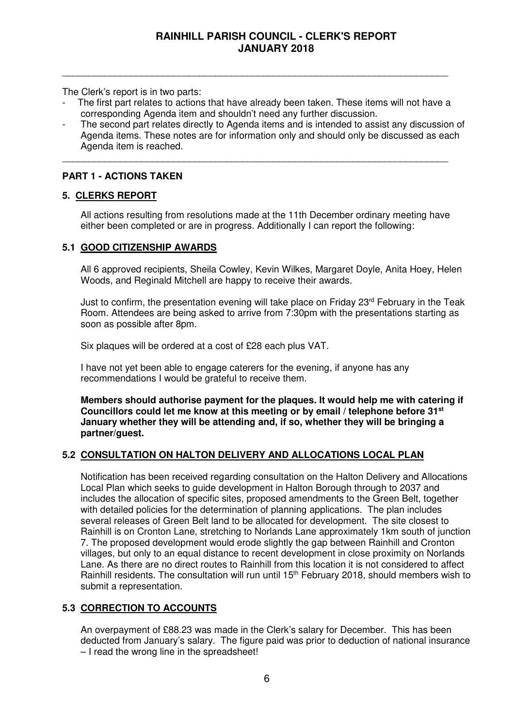The Clerk's report is in two parts:

The first part relates to actions that have already been taken. These items will not have a corresponding Agenda item and shouldn't need any further discussion.

\_\_\_\_\_\_\_\_\_\_\_\_\_\_\_\_\_\_\_\_\_\_\_\_\_\_\_\_\_\_\_\_\_\_\_\_\_\_\_\_\_\_\_\_\_\_\_\_\_\_\_\_\_\_\_\_\_\_\_\_\_\_\_\_\_\_\_\_\_\_\_\_\_

\_\_\_\_\_\_\_\_\_\_\_\_\_\_\_\_\_\_\_\_\_\_\_\_\_\_\_\_\_\_\_\_\_\_\_\_\_\_\_\_\_\_\_\_\_\_\_\_\_\_\_\_\_\_\_\_\_\_\_\_\_\_\_\_\_\_\_\_\_\_\_\_\_

The second part relates directly to Agenda items and is intended to assist any discussion of Agenda items. These notes are for information only and should only be discussed as each Agenda item is reached.

#### **PART 1 - ACTIONS TAKEN**

#### **5. CLERKS REPORT**

 All actions resulting from resolutions made at the 11th December ordinary meeting have either been completed or are in progress. Additionally I can report the following:

#### **5.1 GOOD CITIZENSHIP AWARDS**

All 6 approved recipients, Sheila Cowley, Kevin Wilkes, Margaret Doyle, Anita Hoey, Helen Woods, and Reginald Mitchell are happy to receive their awards.

Just to confirm, the presentation evening will take place on Friday  $23<sup>rd</sup>$  February in the Teak Room. Attendees are being asked to arrive from 7:30pm with the presentations starting as soon as possible after 8pm.

Six plaques will be ordered at a cost of £28 each plus VAT.

I have not yet been able to engage caterers for the evening, if anyone has any recommendations I would be grateful to receive them.

**Members should authorise payment for the plaques. It would help me with catering if Councillors could let me know at this meeting or by email / telephone before 31st January whether they will be attending and, if so, whether they will be bringing a partner/guest.** 

#### **5.2 CONSULTATION ON HALTON DELIVERY AND ALLOCATIONS LOCAL PLAN**

 Notification has been received regarding consultation on the Halton Delivery and Allocations Local Plan which seeks to guide development in Halton Borough through to 2037 and includes the allocation of specific sites, proposed amendments to the Green Belt, together with detailed policies for the determination of planning applications. The plan includes several releases of Green Belt land to be allocated for development. The site closest to Rainhill is on Cronton Lane, stretching to Norlands Lane approximately 1km south of junction 7. The proposed development would erode slightly the gap between Rainhill and Cronton villages, but only to an equal distance to recent development in close proximity on Norlands Lane. As there are no direct routes to Rainhill from this location it is not considered to affect Rainhill residents. The consultation will run until 15<sup>th</sup> February 2018, should members wish to submit a representation.

#### **5.3 CORRECTION TO ACCOUNTS**

 An overpayment of £88.23 was made in the Clerk's salary for December. This has been deducted from January's salary. The figure paid was prior to deduction of national insurance – I read the wrong line in the spreadsheet!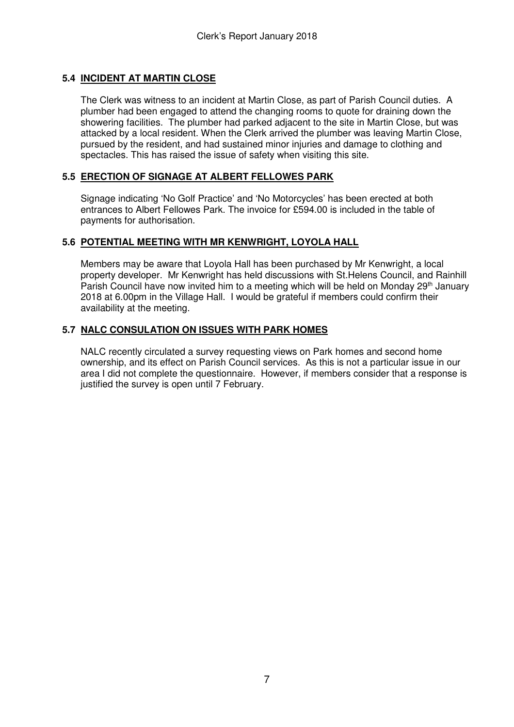#### **5.4 INCIDENT AT MARTIN CLOSE**

The Clerk was witness to an incident at Martin Close, as part of Parish Council duties. A plumber had been engaged to attend the changing rooms to quote for draining down the showering facilities. The plumber had parked adjacent to the site in Martin Close, but was attacked by a local resident. When the Clerk arrived the plumber was leaving Martin Close, pursued by the resident, and had sustained minor injuries and damage to clothing and spectacles. This has raised the issue of safety when visiting this site.

#### **5.5 ERECTION OF SIGNAGE AT ALBERT FELLOWES PARK**

Signage indicating 'No Golf Practice' and 'No Motorcycles' has been erected at both entrances to Albert Fellowes Park. The invoice for £594.00 is included in the table of payments for authorisation.

#### **5.6 POTENTIAL MEETING WITH MR KENWRIGHT, LOYOLA HALL**

Members may be aware that Loyola Hall has been purchased by Mr Kenwright, a local property developer. Mr Kenwright has held discussions with St.Helens Council, and Rainhill Parish Council have now invited him to a meeting which will be held on Monday 29<sup>th</sup> January 2018 at 6.00pm in the Village Hall. I would be grateful if members could confirm their availability at the meeting.

#### **5.7 NALC CONSULATION ON ISSUES WITH PARK HOMES**

NALC recently circulated a survey requesting views on Park homes and second home ownership, and its effect on Parish Council services. As this is not a particular issue in our area I did not complete the questionnaire. However, if members consider that a response is justified the survey is open until 7 February.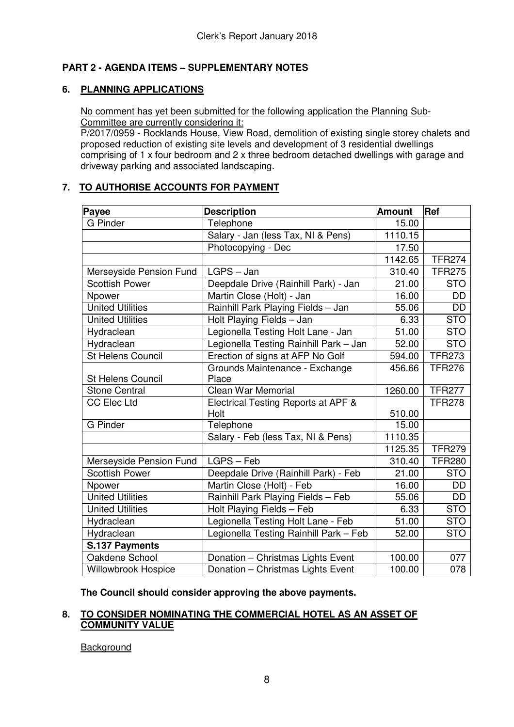#### **PART 2 - AGENDA ITEMS – SUPPLEMENTARY NOTES**

#### **6. PLANNING APPLICATIONS**

#### No comment has yet been submitted for the following application the Planning Sub-Committee are currently considering it:

P/2017/0959 - Rocklands House, View Road, demolition of existing single storey chalets and proposed reduction of existing site levels and development of 3 residential dwellings comprising of 1 x four bedroom and 2 x three bedroom detached dwellings with garage and driveway parking and associated landscaping.

#### **7. TO AUTHORISE ACCOUNTS FOR PAYMENT**

| Payee                      | <b>Description</b>                     | <b>Amount</b> | Ref           |
|----------------------------|----------------------------------------|---------------|---------------|
| <b>G</b> Pinder            | Telephone                              | 15.00         |               |
|                            | Salary - Jan (less Tax, NI & Pens)     | 1110.15       |               |
|                            | Photocopying - Dec                     | 17.50         |               |
|                            |                                        | 1142.65       | <b>TFR274</b> |
| Merseyside Pension Fund    | $LGPS - Jan$                           | 310.40        | <b>TFR275</b> |
| <b>Scottish Power</b>      | Deepdale Drive (Rainhill Park) - Jan   | 21.00         | <b>STO</b>    |
| Npower                     | Martin Close (Holt) - Jan              | 16.00         | DD            |
| <b>United Utilities</b>    | Rainhill Park Playing Fields - Jan     | 55.06         | <b>DD</b>     |
| <b>United Utilities</b>    | Holt Playing Fields - Jan              | 6.33          | <b>STO</b>    |
| Hydraclean                 | Legionella Testing Holt Lane - Jan     | 51.00         | <b>STO</b>    |
| Hydraclean                 | Legionella Testing Rainhill Park - Jan | 52.00         | <b>STO</b>    |
| <b>St Helens Council</b>   | Erection of signs at AFP No Golf       | 594.00        | <b>TFR273</b> |
|                            | Grounds Maintenance - Exchange         | 456.66        | <b>TFR276</b> |
| <b>St Helens Council</b>   | Place                                  |               |               |
| <b>Stone Central</b>       | Clean War Memorial                     | 1260.00       | <b>TFR277</b> |
| <b>CC Elec Ltd</b>         | Electrical Testing Reports at APF &    |               | <b>TFR278</b> |
|                            | Holt                                   | 510.00        |               |
| <b>G</b> Pinder            | Telephone                              | 15.00         |               |
|                            | Salary - Feb (less Tax, NI & Pens)     | 1110.35       |               |
|                            |                                        | 1125.35       | <b>TFR279</b> |
| Merseyside Pension Fund    | LGPS - Feb                             | 310.40        | <b>TFR280</b> |
| <b>Scottish Power</b>      | Deepdale Drive (Rainhill Park) - Feb   | 21.00         | <b>STO</b>    |
| Npower                     | Martin Close (Holt) - Feb              | 16.00         | DD            |
| <b>United Utilities</b>    | Rainhill Park Playing Fields - Feb     | 55.06         | DD            |
| <b>United Utilities</b>    | Holt Playing Fields - Feb              | 6.33          | <b>STO</b>    |
| Hydraclean                 | Legionella Testing Holt Lane - Feb     | 51.00         | <b>STO</b>    |
| Hydraclean                 | Legionella Testing Rainhill Park - Feb | 52.00         | <b>STO</b>    |
| S.137 Payments             |                                        |               |               |
| Oakdene School             | Donation - Christmas Lights Event      | 100.00        | 077           |
| <b>Willowbrook Hospice</b> | Donation - Christmas Lights Event      | 100.00        | 078           |

**The Council should consider approving the above payments.**

#### **8. TO CONSIDER NOMINATING THE COMMERCIAL HOTEL AS AN ASSET OF COMMUNITY VALUE**

**Background**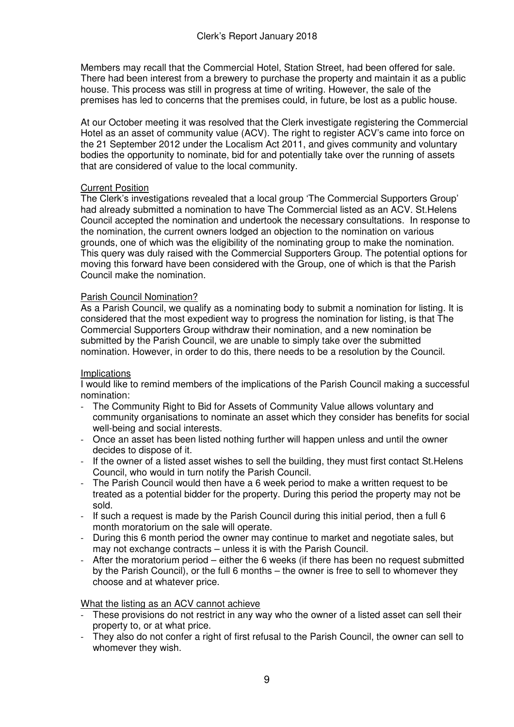Members may recall that the Commercial Hotel, Station Street, had been offered for sale. There had been interest from a brewery to purchase the property and maintain it as a public house. This process was still in progress at time of writing. However, the sale of the premises has led to concerns that the premises could, in future, be lost as a public house.

At our October meeting it was resolved that the Clerk investigate registering the Commercial Hotel as an asset of community value (ACV). The right to register ACV's came into force on the 21 September 2012 under the Localism Act 2011, and gives community and voluntary bodies the opportunity to nominate, bid for and potentially take over the running of assets that are considered of value to the local community.

#### Current Position

The Clerk's investigations revealed that a local group 'The Commercial Supporters Group' had already submitted a nomination to have The Commercial listed as an ACV. St.Helens Council accepted the nomination and undertook the necessary consultations. In response to the nomination, the current owners lodged an objection to the nomination on various grounds, one of which was the eligibility of the nominating group to make the nomination. This query was duly raised with the Commercial Supporters Group. The potential options for moving this forward have been considered with the Group, one of which is that the Parish Council make the nomination.

#### Parish Council Nomination?

As a Parish Council, we qualify as a nominating body to submit a nomination for listing. It is considered that the most expedient way to progress the nomination for listing, is that The Commercial Supporters Group withdraw their nomination, and a new nomination be submitted by the Parish Council, we are unable to simply take over the submitted nomination. However, in order to do this, there needs to be a resolution by the Council.

#### **Implications**

I would like to remind members of the implications of the Parish Council making a successful nomination:

- The Community Right to Bid for Assets of Community Value allows voluntary and community organisations to nominate an asset which they consider has benefits for social well-being and social interests.
- Once an asset has been listed nothing further will happen unless and until the owner decides to dispose of it.
- If the owner of a listed asset wishes to sell the building, they must first contact St.Helens Council, who would in turn notify the Parish Council.
- The Parish Council would then have a 6 week period to make a written request to be treated as a potential bidder for the property. During this period the property may not be sold.
- If such a request is made by the Parish Council during this initial period, then a full 6 month moratorium on the sale will operate.
- During this 6 month period the owner may continue to market and negotiate sales, but may not exchange contracts – unless it is with the Parish Council.
- After the moratorium period either the 6 weeks (if there has been no request submitted by the Parish Council), or the full 6 months – the owner is free to sell to whomever they choose and at whatever price.

#### What the listing as an ACV cannot achieve

- These provisions do not restrict in any way who the owner of a listed asset can sell their property to, or at what price.
- They also do not confer a right of first refusal to the Parish Council, the owner can sell to whomever they wish.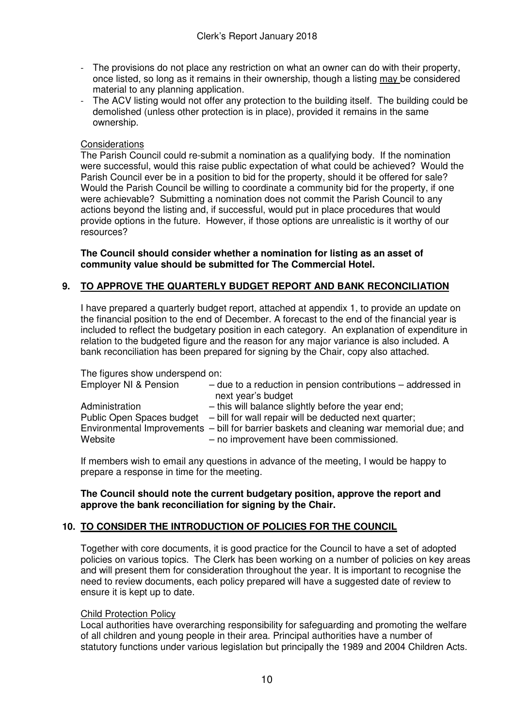- The provisions do not place any restriction on what an owner can do with their property, once listed, so long as it remains in their ownership, though a listing may be considered material to any planning application.
- The ACV listing would not offer any protection to the building itself. The building could be demolished (unless other protection is in place), provided it remains in the same ownership.

#### **Considerations**

The Parish Council could re-submit a nomination as a qualifying body. If the nomination were successful, would this raise public expectation of what could be achieved? Would the Parish Council ever be in a position to bid for the property, should it be offered for sale? Would the Parish Council be willing to coordinate a community bid for the property, if one were achievable? Submitting a nomination does not commit the Parish Council to any actions beyond the listing and, if successful, would put in place procedures that would provide options in the future. However, if those options are unrealistic is it worthy of our resources?

**The Council should consider whether a nomination for listing as an asset of community value should be submitted for The Commercial Hotel.** 

#### **9. TO APPROVE THE QUARTERLY BUDGET REPORT AND BANK RECONCILIATION**

I have prepared a quarterly budget report, attached at appendix 1, to provide an update on the financial position to the end of December. A forecast to the end of the financial year is included to reflect the budgetary position in each category. An explanation of expenditure in relation to the budgeted figure and the reason for any major variance is also included. A bank reconciliation has been prepared for signing by the Chair, copy also attached.

The figures show underspend on:

| Employer NI & Pension                                  | $-$ due to a reduction in pension contributions $-$ addressed in<br>next year's budget                                                                                                                                                             |
|--------------------------------------------------------|----------------------------------------------------------------------------------------------------------------------------------------------------------------------------------------------------------------------------------------------------|
| Administration<br>Public Open Spaces budget<br>Website | - this will balance slightly before the year end;<br>- bill for wall repair will be deducted next quarter;<br>Environmental Improvements - bill for barrier baskets and cleaning war memorial due; and<br>- no improvement have been commissioned. |

 If members wish to email any questions in advance of the meeting, I would be happy to prepare a response in time for the meeting.

#### **The Council should note the current budgetary position, approve the report and approve the bank reconciliation for signing by the Chair.**

#### **10. TO CONSIDER THE INTRODUCTION OF POLICIES FOR THE COUNCIL**

Together with core documents, it is good practice for the Council to have a set of adopted policies on various topics. The Clerk has been working on a number of policies on key areas and will present them for consideration throughout the year. It is important to recognise the need to review documents, each policy prepared will have a suggested date of review to ensure it is kept up to date.

#### Child Protection Policy

Local authorities have overarching responsibility for safeguarding and promoting the welfare of all children and young people in their area. Principal authorities have a number of statutory functions under various legislation but principally the 1989 and 2004 Children Acts.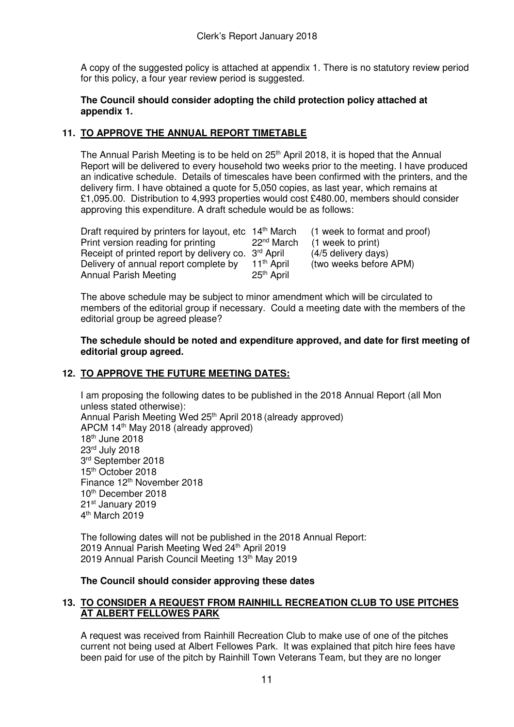A copy of the suggested policy is attached at appendix 1. There is no statutory review period for this policy, a four year review period is suggested.

#### **The Council should consider adopting the child protection policy attached at appendix 1.**

#### **11. TO APPROVE THE ANNUAL REPORT TIMETABLE**

The Annual Parish Meeting is to be held on 25<sup>th</sup> April 2018, it is hoped that the Annual Report will be delivered to every household two weeks prior to the meeting. I have produced an indicative schedule. Details of timescales have been confirmed with the printers, and the delivery firm. I have obtained a quote for 5,050 copies, as last year, which remains at £1,095.00. Distribution to 4,993 properties would cost £480.00, members should consider approving this expenditure. A draft schedule would be as follows:

| Draft required by printers for layout, etc 14 <sup>th</sup> March |                        | (1 week to format and proof) |
|-------------------------------------------------------------------|------------------------|------------------------------|
| Print version reading for printing                                | 22 <sup>nd</sup> March | (1 week to print)            |
| Receipt of printed report by delivery co. 3 <sup>rd</sup> April   |                        | (4/5 delivery days)          |
| Delivery of annual report complete by                             | 11 <sup>th</sup> April | (two weeks before APM)       |
| <b>Annual Parish Meeting</b>                                      | 25 <sup>th</sup> April |                              |

 The above schedule may be subject to minor amendment which will be circulated to members of the editorial group if necessary. Could a meeting date with the members of the editorial group be agreed please?

#### **The schedule should be noted and expenditure approved, and date for first meeting of editorial group agreed.**

#### **12. TO APPROVE THE FUTURE MEETING DATES:**

I am proposing the following dates to be published in the 2018 Annual Report (all Mon unless stated otherwise): Annual Parish Meeting Wed 25<sup>th</sup> April 2018 (already approved) APCM 14<sup>th</sup> May 2018 (already approved) 18th June 2018 23rd July 2018 3 rd September 2018 15<sup>th</sup> October 2018 Finance 12th November 2018 10th December 2018 21st January 2019 4<sup>th</sup> March 2019

The following dates will not be published in the 2018 Annual Report: 2019 Annual Parish Meeting Wed 24<sup>th</sup> April 2019 2019 Annual Parish Council Meeting 13<sup>th</sup> May 2019

#### **The Council should consider approving these dates**

#### **13. TO CONSIDER A REQUEST FROM RAINHILL RECREATION CLUB TO USE PITCHES AT ALBERT FELLOWES PARK**

A request was received from Rainhill Recreation Club to make use of one of the pitches current not being used at Albert Fellowes Park. It was explained that pitch hire fees have been paid for use of the pitch by Rainhill Town Veterans Team, but they are no longer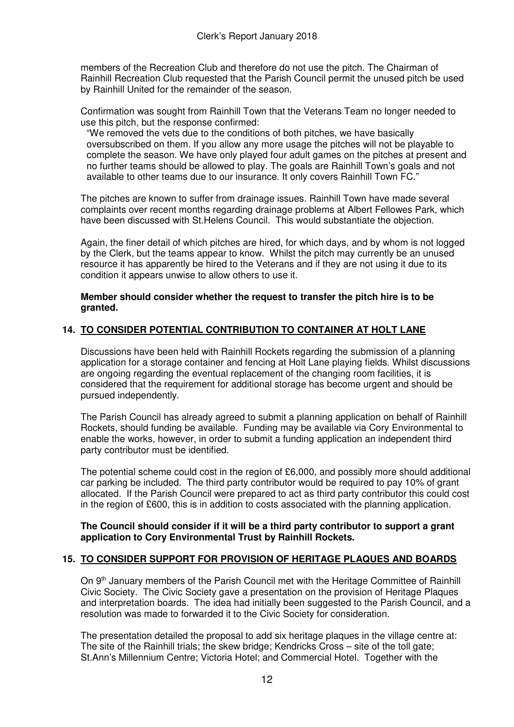members of the Recreation Club and therefore do not use the pitch. The Chairman of Rainhill Recreation Club requested that the Parish Council permit the unused pitch be used by Rainhill United for the remainder of the season.

Confirmation was sought from Rainhill Town that the Veterans Team no longer needed to use this pitch, but the response confirmed:

"We removed the vets due to the conditions of both pitches, we have basically oversubscribed on them. If you allow any more usage the pitches will not be playable to complete the season. We have only played four adult games on the pitches at present and no further teams should be allowed to play. The goals are Rainhill Town's goals and not available to other teams due to our insurance. It only covers Rainhill Town FC."

The pitches are known to suffer from drainage issues. Rainhill Town have made several complaints over recent months regarding drainage problems at Albert Fellowes Park, which have been discussed with St.Helens Council. This would substantiate the objection.

Again, the finer detail of which pitches are hired, for which days, and by whom is not logged by the Clerk, but the teams appear to know. Whilst the pitch may currently be an unused resource it has apparently be hired to the Veterans and if they are not using it due to its condition it appears unwise to allow others to use it.

#### **Member should consider whether the request to transfer the pitch hire is to be granted.**

#### **14. TO CONSIDER POTENTIAL CONTRIBUTION TO CONTAINER AT HOLT LANE**

Discussions have been held with Rainhill Rockets regarding the submission of a planning application for a storage container and fencing at Holt Lane playing fields. Whilst discussions are ongoing regarding the eventual replacement of the changing room facilities, it is considered that the requirement for additional storage has become urgent and should be pursued independently.

The Parish Council has already agreed to submit a planning application on behalf of Rainhill Rockets, should funding be available. Funding may be available via Cory Environmental to enable the works, however, in order to submit a funding application an independent third party contributor must be identified.

The potential scheme could cost in the region of £6,000, and possibly more should additional car parking be included. The third party contributor would be required to pay 10% of grant allocated. If the Parish Council were prepared to act as third party contributor this could cost in the region of £600, this is in addition to costs associated with the planning application.

#### **The Council should consider if it will be a third party contributor to support a grant application to Cory Environmental Trust by Rainhill Rockets.**

#### **15. TO CONSIDER SUPPORT FOR PROVISION OF HERITAGE PLAQUES AND BOARDS**

On 9<sup>th</sup> January members of the Parish Council met with the Heritage Committee of Rainhill Civic Society. The Civic Society gave a presentation on the provision of Heritage Plaques and interpretation boards. The idea had initially been suggested to the Parish Council, and a resolution was made to forwarded it to the Civic Society for consideration.

The presentation detailed the proposal to add six heritage plaques in the village centre at: The site of the Rainhill trials; the skew bridge; Kendricks Cross – site of the toll gate; St.Ann's Millennium Centre; Victoria Hotel; and Commercial Hotel. Together with the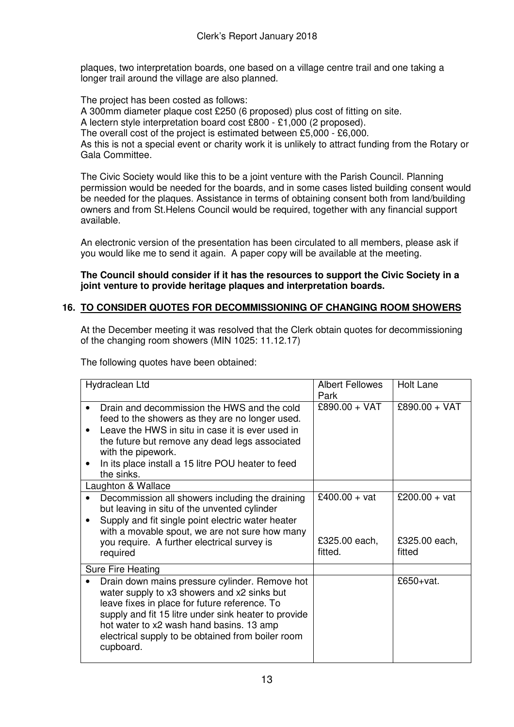plaques, two interpretation boards, one based on a village centre trail and one taking a longer trail around the village are also planned.

The project has been costed as follows:

A 300mm diameter plaque cost £250 (6 proposed) plus cost of fitting on site.

A lectern style interpretation board cost £800 - £1,000 (2 proposed).

The overall cost of the project is estimated between £5,000 - £6,000.

As this is not a special event or charity work it is unlikely to attract funding from the Rotary or Gala Committee.

The Civic Society would like this to be a joint venture with the Parish Council. Planning permission would be needed for the boards, and in some cases listed building consent would be needed for the plaques. Assistance in terms of obtaining consent both from land/building owners and from St.Helens Council would be required, together with any financial support available.

An electronic version of the presentation has been circulated to all members, please ask if you would like me to send it again. A paper copy will be available at the meeting.

#### **The Council should consider if it has the resources to support the Civic Society in a joint venture to provide heritage plaques and interpretation boards.**

#### **16. TO CONSIDER QUOTES FOR DECOMMISSIONING OF CHANGING ROOM SHOWERS**

At the December meeting it was resolved that the Clerk obtain quotes for decommissioning of the changing room showers (MIN 1025: 11.12.17)

The following quotes have been obtained:

| Hydraclean Ltd                                                                                                                                                                                                                                                                                                       | <b>Albert Fellowes</b><br>Park | <b>Holt Lane</b>        |
|----------------------------------------------------------------------------------------------------------------------------------------------------------------------------------------------------------------------------------------------------------------------------------------------------------------------|--------------------------------|-------------------------|
| Drain and decommission the HWS and the cold<br>feed to the showers as they are no longer used.<br>Leave the HWS in situ in case it is ever used in<br>the future but remove any dead legs associated<br>with the pipework.<br>In its place install a 15 litre POU heater to feed<br>the sinks.                       | £890.00 + VAT                  | £890.00 + VAT           |
| Laughton & Wallace                                                                                                                                                                                                                                                                                                   |                                |                         |
| Decommission all showers including the draining<br>but leaving in situ of the unvented cylinder<br>Supply and fit single point electric water heater                                                                                                                                                                 | £400.00 + vat                  | £200.00 + vat           |
| with a movable spout, we are not sure how many<br>you require. A further electrical survey is<br>required                                                                                                                                                                                                            | £325.00 each,<br>fitted.       | £325.00 each,<br>fitted |
| <b>Sure Fire Heating</b>                                                                                                                                                                                                                                                                                             |                                |                         |
| Drain down mains pressure cylinder. Remove hot<br>water supply to x3 showers and x2 sinks but<br>leave fixes in place for future reference. To<br>supply and fit 15 litre under sink heater to provide<br>hot water to x2 wash hand basins. 13 amp<br>electrical supply to be obtained from boiler room<br>cupboard. |                                | £650+vat.               |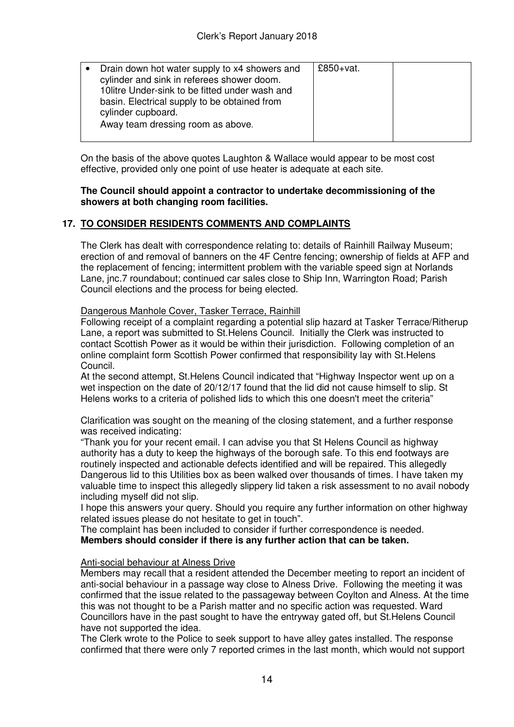| Drain down hot water supply to x4 showers and<br>cylinder and sink in referees shower doom.<br>10 litre Under-sink to be fitted under wash and<br>basin. Electrical supply to be obtained from<br>cylinder cupboard.<br>Away team dressing room as above. | £850+ $vat.$ |  |
|-----------------------------------------------------------------------------------------------------------------------------------------------------------------------------------------------------------------------------------------------------------|--------------|--|
|-----------------------------------------------------------------------------------------------------------------------------------------------------------------------------------------------------------------------------------------------------------|--------------|--|

On the basis of the above quotes Laughton & Wallace would appear to be most cost effective, provided only one point of use heater is adequate at each site.

#### **The Council should appoint a contractor to undertake decommissioning of the showers at both changing room facilities.**

#### **17. TO CONSIDER RESIDENTS COMMENTS AND COMPLAINTS**

The Clerk has dealt with correspondence relating to: details of Rainhill Railway Museum; erection of and removal of banners on the 4F Centre fencing; ownership of fields at AFP and the replacement of fencing; intermittent problem with the variable speed sign at Norlands Lane, jnc.7 roundabout; continued car sales close to Ship Inn, Warrington Road; Parish Council elections and the process for being elected.

Dangerous Manhole Cover, Tasker Terrace, Rainhill

Following receipt of a complaint regarding a potential slip hazard at Tasker Terrace/Ritherup Lane, a report was submitted to St.Helens Council. Initially the Clerk was instructed to contact Scottish Power as it would be within their jurisdiction. Following completion of an online complaint form Scottish Power confirmed that responsibility lay with St.Helens Council.

At the second attempt, St.Helens Council indicated that "Highway Inspector went up on a wet inspection on the date of 20/12/17 found that the lid did not cause himself to slip. St Helens works to a criteria of polished lids to which this one doesn't meet the criteria"

Clarification was sought on the meaning of the closing statement, and a further response was received indicating:

"Thank you for your recent email. I can advise you that St Helens Council as highway authority has a duty to keep the highways of the borough safe. To this end footways are routinely inspected and actionable defects identified and will be repaired. This allegedly Dangerous lid to this Utilities box as been walked over thousands of times. I have taken my valuable time to inspect this allegedly slippery lid taken a risk assessment to no avail nobody including myself did not slip.

I hope this answers your query. Should you require any further information on other highway related issues please do not hesitate to get in touch".

The complaint has been included to consider if further correspondence is needed. **Members should consider if there is any further action that can be taken.** 

#### Anti-social behaviour at Alness Drive

Members may recall that a resident attended the December meeting to report an incident of anti-social behaviour in a passage way close to Alness Drive. Following the meeting it was confirmed that the issue related to the passageway between Coylton and Alness. At the time this was not thought to be a Parish matter and no specific action was requested. Ward Councillors have in the past sought to have the entryway gated off, but St.Helens Council have not supported the idea.

The Clerk wrote to the Police to seek support to have alley gates installed. The response confirmed that there were only 7 reported crimes in the last month, which would not support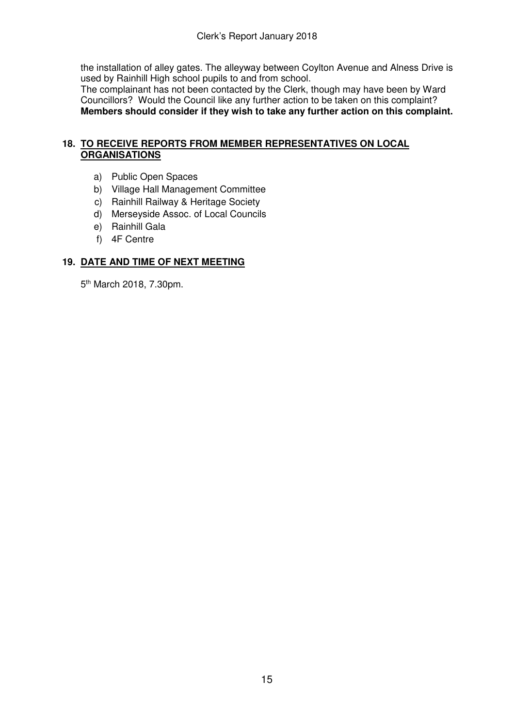the installation of alley gates. The alleyway between Coylton Avenue and Alness Drive is used by Rainhill High school pupils to and from school.

The complainant has not been contacted by the Clerk, though may have been by Ward Councillors? Would the Council like any further action to be taken on this complaint? **Members should consider if they wish to take any further action on this complaint.**

#### **18. TO RECEIVE REPORTS FROM MEMBER REPRESENTATIVES ON LOCAL ORGANISATIONS**

- a) Public Open Spaces
- b) Village Hall Management Committee
- c) Rainhill Railway & Heritage Society
- d) Merseyside Assoc. of Local Councils
- e) Rainhill Gala
- f) 4F Centre

#### **19. DATE AND TIME OF NEXT MEETING**

5<sup>th</sup> March 2018, 7.30pm.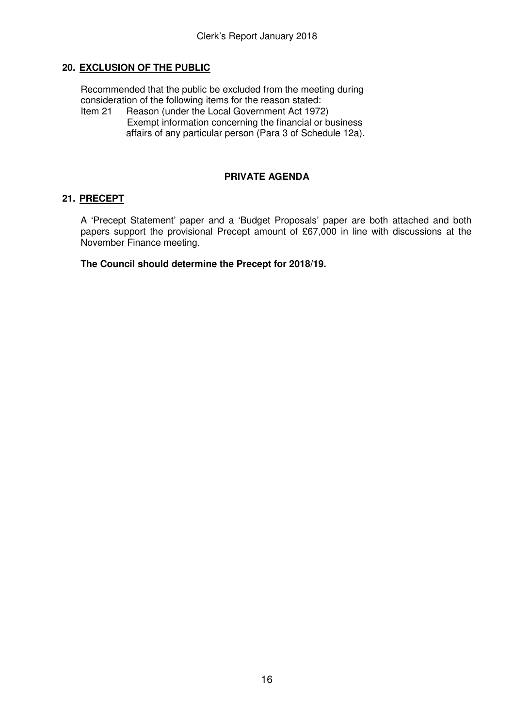#### **20. EXCLUSION OF THE PUBLIC**

Recommended that the public be excluded from the meeting during consideration of the following items for the reason stated:

Item 21 Reason (under the Local Government Act 1972) Exempt information concerning the financial or business affairs of any particular person (Para 3 of Schedule 12a).

#### **PRIVATE AGENDA**

#### **21. PRECEPT**

 A 'Precept Statement' paper and a 'Budget Proposals' paper are both attached and both papers support the provisional Precept amount of £67,000 in line with discussions at the November Finance meeting.

 **The Council should determine the Precept for 2018/19.**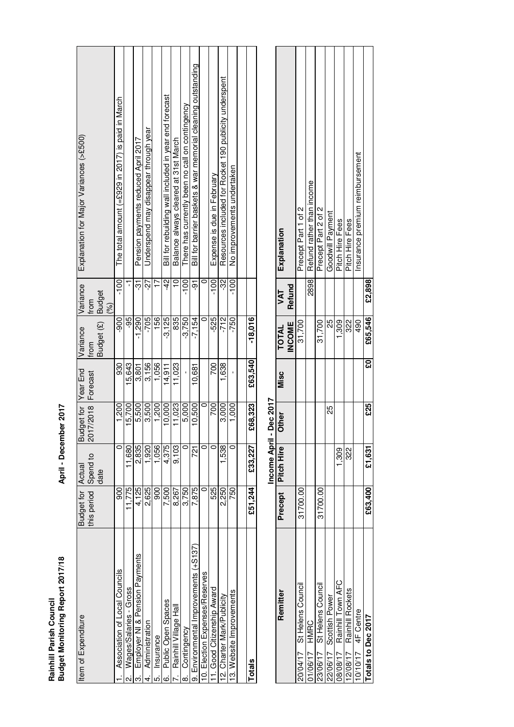| Rainhill Parish Counc            |                       |
|----------------------------------|-----------------------|
| Budget Monitoring Report 2017/18 | April - December 2017 |

# April - December 2017

## Income April - Dec 2017

|                            |          | Income April -       | <b>Dec 2017</b> |      |               |             |                                 |
|----------------------------|----------|----------------------|-----------------|------|---------------|-------------|---------------------------------|
| Remitter                   |          | Precept   Pitch Hire | <b>Other</b>    | Misc | <b>TOTAL</b>  | $\sqrt{AT}$ | Explanation                     |
|                            |          |                      |                 |      | <b>INCOME</b> | Refund      |                                 |
| 20/04/17 St Helens Council | 31700.00 |                      |                 |      | 31,700        |             | Precept Part 1 of 2             |
| 01/06/17 HMRC              |          |                      |                 |      |               | 2898        | Refund rather than income       |
| 23/06/17 St Helens Council | 31700.00 |                      |                 |      | 31,700        |             | Precept Part 2 of 2             |
| 22/06/17 Scottish Power    |          |                      | 25              |      | 53            |             | Goodwill Payment                |
| 08/08/17 Rainhill Town AFC |          | 1,309                |                 |      | 1,309         |             | Pitch Hire Fees                 |
| 2/08/17 Rainhill Rockets   |          | 322                  |                 |      | 322           |             | Pitch Hire Fees                 |
| $10/10/17$ 4F Centre       |          |                      |                 |      | 490           |             | insurance premium reimbursement |
| Totals to Dec 2017         | £63,400  | £1,631               | £25             | ន្ត្ | £65,546       | £2,898      |                                 |
|                            |          |                      |                 |      |               |             |                                 |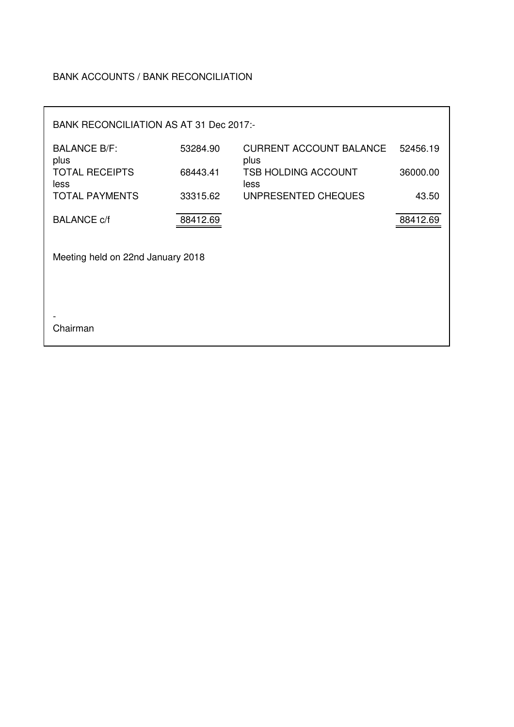#### BANK ACCOUNTS / BANK RECONCILIATION

| BANK RECONCILIATION AS AT 31 Dec 2017:- |          |                                        |          |
|-----------------------------------------|----------|----------------------------------------|----------|
| <b>BALANCE B/F:</b><br>plus             | 53284.90 | <b>CURRENT ACCOUNT BALANCE</b><br>plus | 52456.19 |
| <b>TOTAL RECEIPTS</b><br>less           | 68443.41 | <b>TSB HOLDING ACCOUNT</b><br>less     | 36000.00 |
| <b>TOTAL PAYMENTS</b>                   | 33315.62 | UNPRESENTED CHEQUES                    | 43.50    |
| <b>BALANCE c/f</b>                      | 88412.69 |                                        | 88412.69 |
| Meeting held on 22nd January 2018       |          |                                        |          |
| Chairman                                |          |                                        |          |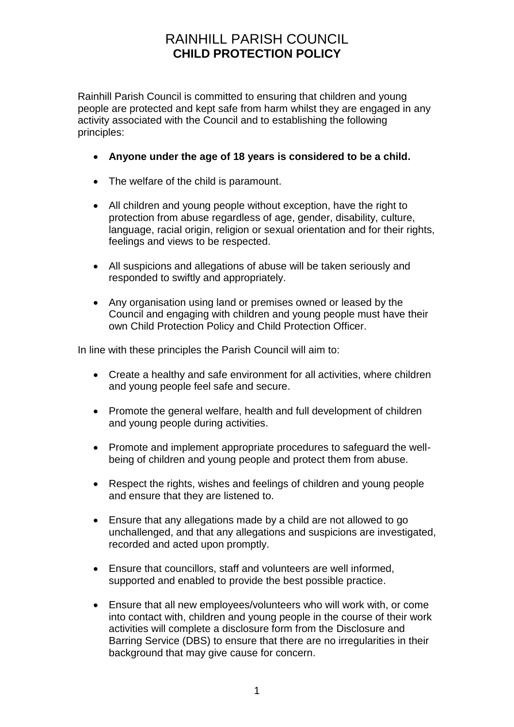## RAINHILL PARISH COUNCIL **CHILD PROTECTION POLICY**

Rainhill Parish Council is committed to ensuring that children and young people are protected and kept safe from harm whilst they are engaged in any activity associated with the Council and to establishing the following principles:

- **Anyone under the age of 18 years is considered to be a child.**
- The welfare of the child is paramount.
- All children and young people without exception, have the right to protection from abuse regardless of age, gender, disability, culture, language, racial origin, religion or sexual orientation and for their rights, feelings and views to be respected.
- All suspicions and allegations of abuse will be taken seriously and responded to swiftly and appropriately.
- Any organisation using land or premises owned or leased by the Council and engaging with children and young people must have their own Child Protection Policy and Child Protection Officer.

In line with these principles the Parish Council will aim to:

- Create a healthy and safe environment for all activities, where children and young people feel safe and secure.
- Promote the general welfare, health and full development of children and young people during activities.
- Promote and implement appropriate procedures to safeguard the wellbeing of children and young people and protect them from abuse.
- Respect the rights, wishes and feelings of children and young people and ensure that they are listened to.
- Ensure that any allegations made by a child are not allowed to go unchallenged, and that any allegations and suspicions are investigated, recorded and acted upon promptly.
- Ensure that councillors, staff and volunteers are well informed, supported and enabled to provide the best possible practice.
- Ensure that all new employees/volunteers who will work with, or come into contact with, children and young people in the course of their work activities will complete a disclosure form from the Disclosure and Barring Service (DBS) to ensure that there are no irregularities in their background that may give cause for concern.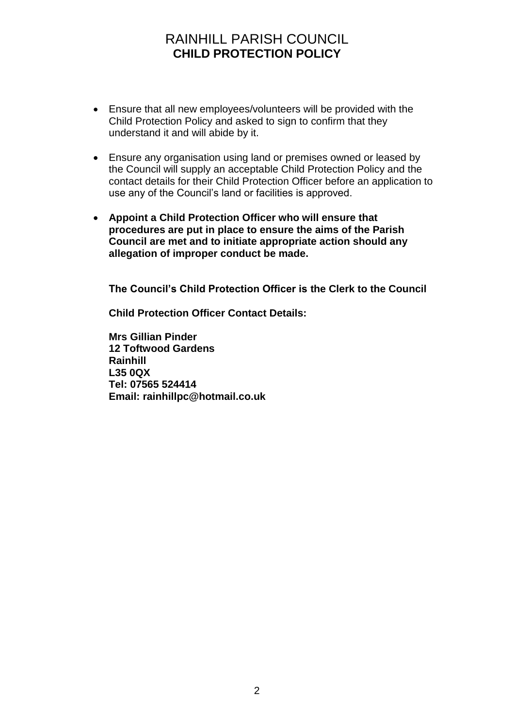## RAINHILL PARISH COUNCIL **CHILD PROTECTION POLICY**

- Ensure that all new employees/volunteers will be provided with the Child Protection Policy and asked to sign to confirm that they understand it and will abide by it.
- Ensure any organisation using land or premises owned or leased by the Council will supply an acceptable Child Protection Policy and the contact details for their Child Protection Officer before an application to use any of the Council's land or facilities is approved.
- **Appoint a Child Protection Officer who will ensure that procedures are put in place to ensure the aims of the Parish Council are met and to initiate appropriate action should any allegation of improper conduct be made.**

**The Council's Child Protection Officer is the Clerk to the Council**

**Child Protection Officer Contact Details:**

**Mrs Gillian Pinder 12 Toftwood Gardens Rainhill L35 0QX Tel: 07565 524414 Email: rainhillpc@hotmail.co.uk**